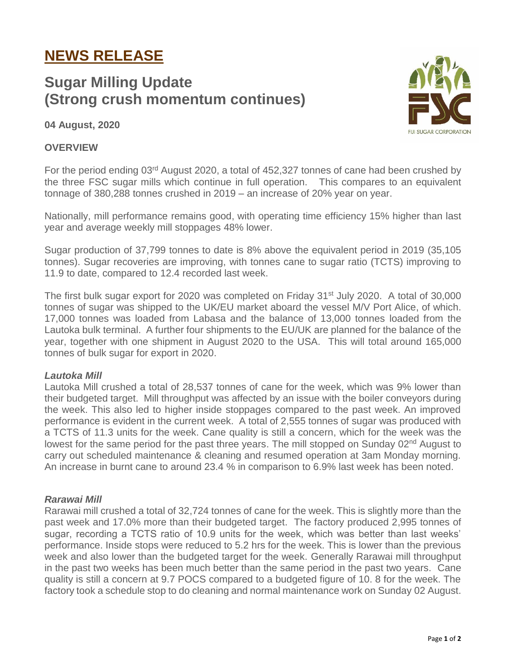# **NEWS RELEASE**

# **Sugar Milling Update (Strong crush momentum continues)**

**ILSUGAR CORPORATION** 

**04 August, 2020**

## **OVERVIEW**

For the period ending 03<sup>rd</sup> August 2020, a total of 452,327 tonnes of cane had been crushed by the three FSC sugar mills which continue in full operation. This compares to an equivalent tonnage of 380,288 tonnes crushed in 2019 – an increase of 20% year on year.

Nationally, mill performance remains good, with operating time efficiency 15% higher than last year and average weekly mill stoppages 48% lower.

Sugar production of 37,799 tonnes to date is 8% above the equivalent period in 2019 (35,105 tonnes). Sugar recoveries are improving, with tonnes cane to sugar ratio (TCTS) improving to 11.9 to date, compared to 12.4 recorded last week.

The first bulk sugar export for 2020 was completed on Friday  $31<sup>st</sup>$  July 2020. A total of 30,000 tonnes of sugar was shipped to the UK/EU market aboard the vessel M/V Port Alice, of which. 17,000 tonnes was loaded from Labasa and the balance of 13,000 tonnes loaded from the Lautoka bulk terminal. A further four shipments to the EU/UK are planned for the balance of the year, together with one shipment in August 2020 to the USA. This will total around 165,000 tonnes of bulk sugar for export in 2020.

#### *Lautoka Mill*

Lautoka Mill crushed a total of 28,537 tonnes of cane for the week, which was 9% lower than their budgeted target. Mill throughput was affected by an issue with the boiler conveyors during the week. This also led to higher inside stoppages compared to the past week. An improved performance is evident in the current week. A total of 2,555 tonnes of sugar was produced with a TCTS of 11.3 units for the week. Cane quality is still a concern, which for the week was the lowest for the same period for the past three years. The mill stopped on Sunday 02<sup>nd</sup> August to carry out scheduled maintenance & cleaning and resumed operation at 3am Monday morning. An increase in burnt cane to around 23.4 % in comparison to 6.9% last week has been noted.

#### *Rarawai Mill*

Rarawai mill crushed a total of 32,724 tonnes of cane for the week. This is slightly more than the past week and 17.0% more than their budgeted target. The factory produced 2,995 tonnes of sugar, recording a TCTS ratio of 10.9 units for the week, which was better than last weeks' performance. Inside stops were reduced to 5.2 hrs for the week. This is lower than the previous week and also lower than the budgeted target for the week. Generally Rarawai mill throughput in the past two weeks has been much better than the same period in the past two years. Cane quality is still a concern at 9.7 POCS compared to a budgeted figure of 10. 8 for the week. The factory took a schedule stop to do cleaning and normal maintenance work on Sunday 02 August.